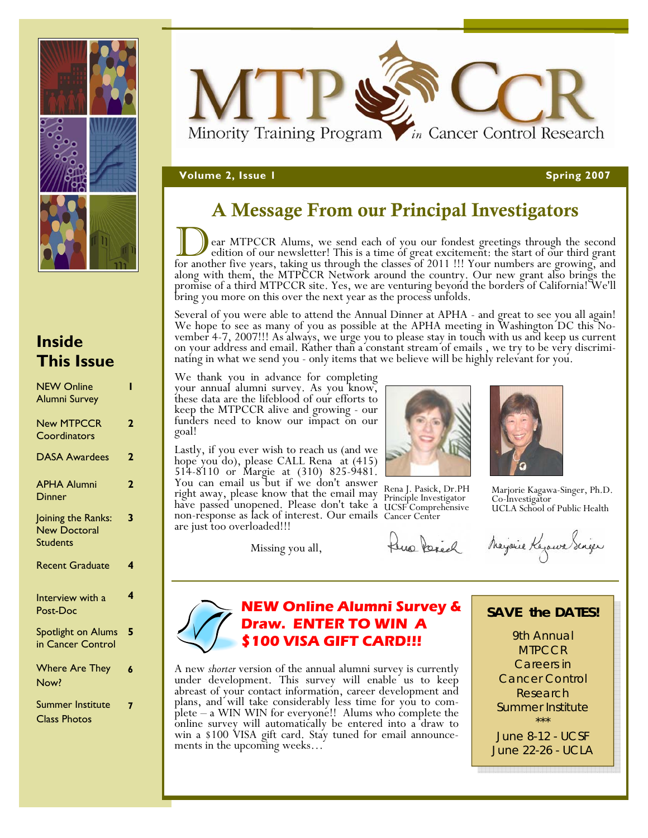



### **V**olume 2, Issue 1 Spring 2007 **Spring 2007 Spring 2007**

### A Message From our Principal Investigators

ear MTPCCR Alums, we send each of you our fondest greetings through the second<br>edition of our newsletter! This is a time of great excitement: the start of our third grant<br>for another five years, taking us through the class bring you more on this over the next year as the process unfolds.

Several of you were able to attend the Annual Dinner at APHA - and great to see you all again!<br>We hope to see as many of you as possible at the APHA meeting in Washington DC this No-<br>vember 4-7, 2007!!! As always, we urge

We thank you in advance for completing your annual alumni survey. As you know, these data are the lifeblood of our efforts to keep the MTPCCR alive and growing - our funders need to know our impact on our goal!

Lastly, if you ever wish to reach us (and we hope you do), please CALL Rena at (415) 514-8110 or Margie at (310) 825-9481. You can email us but if we don't answer right away, please know that the email may have passed unopened. Please don't take a non-response as lack of interest. Our emails Cancer Center are just too overloaded!!! have passed unopened. Please don't take a UCSF Comprehensive

Missing you all,



 Rena J. Pasick, Dr.PH Principle Investigator



Marjorie Kagawa-Singer, Ph.D. Co-Investigator UCLA School of Public Health

Pero Perick Majaire Kajawa Scriper

### **NEW Online Alumni Survey & Draw. ENTER TO WIN A \$100 VISA GIFT CARD!!!**

A new *shorter* version of the annual alumni survey is currently under development. This survey will enable us to keep abreast of your contact information, career development and plans, and will take considerably less time for you to complete – a WIN WIN for everyone!! Alums who complete the online survey will automatically be entered into a draw to win a \$100 VISA gift card. Stay tuned for email announcements in the upcoming weeks…

### **SAVE the DATES!**

9th Annual **MTPCCR** Careers in Cancer Control Research Summer Institute *\*\*\** 

June 8-12 - UCSF June 22-26 - UCLA

### **Inside This Issue**

| <b>NEW Online</b><br><b>Alumni Survey</b>                    |                |
|--------------------------------------------------------------|----------------|
| <b>New MTPCCR</b><br>Coordinators                            | $\overline{2}$ |
| <b>DASA Awardees</b>                                         | $\overline{2}$ |
| <b>APHA Alumni</b><br><b>Dinner</b>                          | 2              |
| Joining the Ranks:<br><b>New Doctoral</b><br><b>Students</b> | 3              |
| <b>Recent Graduate</b>                                       | 4              |
| Interview with a<br>Post-Doc                                 | 4              |
| Spotlight on Alums<br>in Cancer Control                      | 5              |
| <b>Where Are They</b><br>Now?                                | 6              |
| <b>Summer Institute</b>                                      | 7              |

Class Photos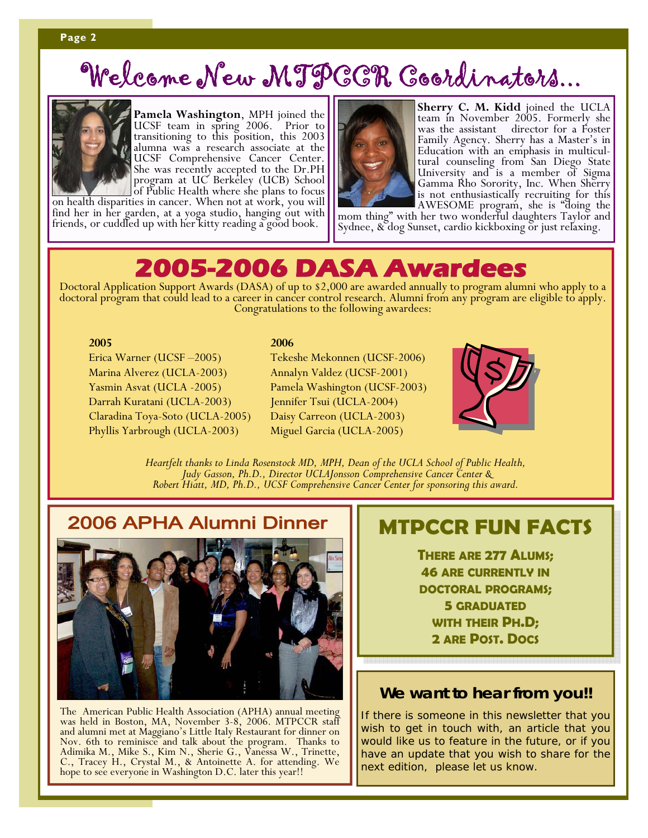## Welcome New MTPCCR Coordinators...



**Pamela Washington**, MPH joined the UCSF team in spring 2006. Prior to transitioning to this position, this 2003 alumna was a research associate at the UCSF Comprehensive Cancer Center. She was recently accepted to the Dr.PH program at UC Berkeley (UCB) School

of Public Health where she plans to focus on health disparities in cancer. When not at work, you will find her in her garden, at a yoga studio, hanging out with friends, or cuddled up with her kitty reading a good book.



**Sherry C. M. Kidd** joined the UCLA team in November 2005. Formerly she was the assistant director for a Foster Family Agency. Sherry has a Master's in Education with an emphasis in multicultural counseling from San Diego State University and is a member of Sigma Gamma Rho Sorority, Inc. When Sherry is not enthusiastically recruiting for this

AWESOME program, she is "doing the mom thing" with her two wonderful daughters Taylor and Sydnee, & dog Sunset, cardio kickboxing or just relaxing.

Doctoral Application Support Awards (DASA) of up to \$2,000 are awarded annually to program alumni who apply to a doctoral program that could lead to a career in cancer control research. Alumni from any program are eligible

### **2005**

**2006** 

Erica Warner (UCSF –2005) Marina Alverez (UCLA-2003) Yasmin Asvat (UCLA -2005) Darrah Kuratani (UCLA-2003) Claradina Toya-Soto (UCLA-2005) Phyllis Yarbrough (UCLA-2003)

Tekeshe Mekonnen (UCSF-2006) Annalyn Valdez (UCSF-2001) Pamela Washington (UCSF-2003) Jennifer Tsui (UCLA-2004) Daisy Carreon (UCLA-2003) Miguel Garcia (UCLA-2005)



Heartfelt thanks to Linda Rosenstock MD, MPH, Dean of the UCLA School of Public Health,<br>Judy Gasson, Ph.D., Director UCLAJonsson Comprehensive Cancer Center &<br>Robert Hiatt, MD, Ph.D., UCSF Comprehensive Cancer Center for s

### 2006 APHA Alumni Dinner



The American Public Health Association (APHA) annual meeting was held in Boston, MA, November 3-8, 2006. MTPCCR staff and alumni met at Maggiano's Little Italy Restaurant for dinner on Nov. 6th to reminisce and talk about the program. Thanks to Adimika M., Mike S., Kim N., Sherie G., Vanessa W., Trinette, C., Tracey H., Crystal M., & Antoinette A. for attending. We hope to see everyone in Washington D.C. later this year!!

### **MTPCCR FUN FACTS**

**THERE ARE 277 ALUMS; 46 ARE CURRENTLY IN DOCTORAL PROGRAMS; 5 GRADUATED WITH THEIR PH.D; 2 ARE POST. DOCS**

### **We want to hear from you!!**

If there is someone in this newsletter that you wish to get in touch with, an article that you would like us to feature in the future, or if you have an update that you wish to share for the next edition, please let us know.

### **Page 2**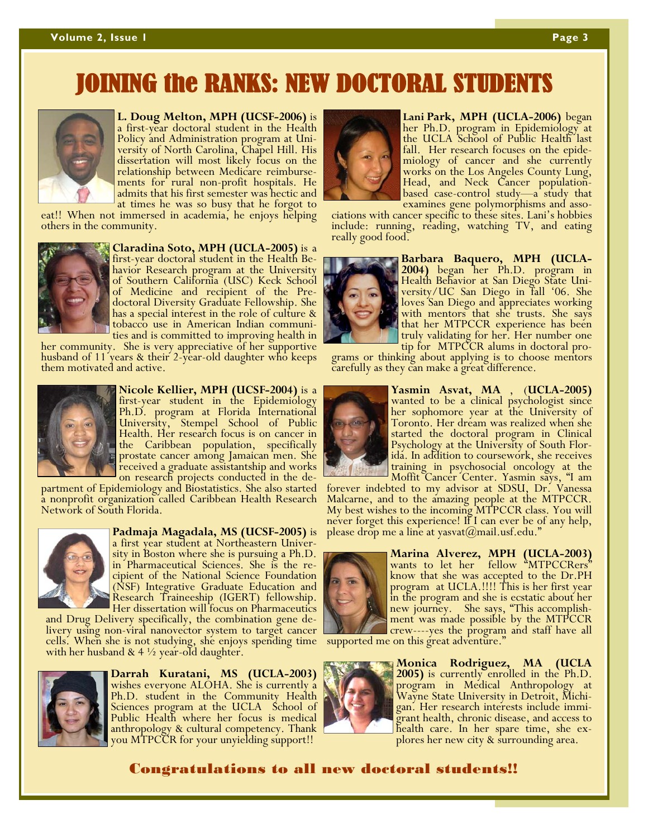## IOINING the RANKS: NEW DOCTORAL STUDENT



#### **L. Doug Melton, MPH (UCSF-2006)** is

a first-year doctoral student in the Health Policy and Administration program at University of North Carolina, Chapel Hill. His dissertation will most likely focus on the relationship between Medicare reimbursements for rural non-profit hospitals. He admits that his first semester was hectic and at times he was so busy that he forgot to

eat!! When not immersed in academia, he enjoys helping others in the community.



**Claradina Soto, MPH (UCLA-2005)** is a first-year doctoral student in the Health Behavior Research program at the University of Southern California (USC) Keck School of Medicine and recipient of the Predoctoral Diversity Graduate Fellowship. She has a special interest in the role of culture & tobacco use in American Indian communi-<br>ties and is committed to improving health in

her community. She is very appreciative of her supportive husband of 11 years & their 2-year-old daughter who keeps them motivated and active.



**Nicole Kellier, MPH (UCSF-2004)** is a Ph.D. program at Florida International University, Stempel School of Public Health. Her research focus is on cancer in the Caribbean population, specifically prostate cancer among Jamaican men. She received a graduate assistantship and works<br>on research projects conducted in the de-

partment of Epidemiology and Biostatistics. She also started a nonprofit organization called Caribbean Health Research Network of South Florida.



**Padmaja Magadala, MS (UCSF-2005)** is a first year student at Northeastern University in Boston where she is pursuing a Ph.D. in Pharmaceutical Sciences. She is the recipient of the National Science Foundation (NSF) Integrative Graduate Education and Research Traineeship (IGERT) fellowship. Her dissertation will focus on Pharmaceutics

and Drug Delivery specifically, the combination gene delivery using non-viral nanovector system to target cancer and crew----yes the program and staff have all cells. When she is not studying, she enjoys spending time supported me on this great adventure."<br>with her husband & 4



**Darrah Kuratani, MS (UCLA-2003)**  wishes everyone ALOHA. She is currently a Ph.D. student in the Community Health Sciences program at the UCLA School of Public Health where her focus is medical anthropology & cultural competency. Thank you MTPCCR for your unyielding support!!



**Lani Park, MPH (UCLA-2006)** began her Ph.D. program in Epidemiology at the UCLA School of Public Health last fall. Her research focuses on the epidemiology of cancer and she currently works on the Los Angeles County Lung, Head, and Neck Cancer populationbased case-control study—a study that<br>examines gene polymorphisms and asso-

ciations with cancer specific to these sites. Lani's hobbies include: running, reading, watching TV, and eating really good food.



**Barbara Baquero, MPH (UCLA-2004)** began her Ph.D. program in Health Behavior at San Diego State University/UC San Diego in fall '06. She loves San Diego and appreciates working with mentors that she trusts. She says that her MTPCCR experience has been truly validating for her. Her number one

grams or thinking about applying is to choose mentors carefully as they can make a great difference.



**Yasmin Asvat, MA** , (**UCLA-2005)** wanted to be a clinical psychologist since her sophomore year at the University of Toronto. Her dream was realized when she started the doctoral program in Clinical Psychology at the University of South Florida. In addition to coursework, she receives training in psychosocial oncology at the Moffit Cancer Center. Yasmin says, "I am

forever indebted to my advisor at SDSU, Dr. Vanessa Malcarne, and to the amazing people at the MTPCCR. My best wishes to the incoming MTPCCR class. You will never forget this experience! If I can ever be of any help, please drop me a line at yasvat $(a)$ mail.usf.edu."



**Marina Alverez, MPH (UCLA-2003)**  wants to let her fellow "MTPCCRers" know that she was accepted to the Dr.PH program at UCLA.!!!! This is her first year in the program and she is ecstatic about her new journey. She says, "This accomplishment was made possible by the MTPCCR

**Monica Rodriguez, MA (UCLA**  program in Medical Anthropology at Wayne State University in Detroit, Michi- gan. Her research interests include immigrant health, chronic disease, and access to health care. In her spare time, she explores her new city & surrounding area.

### Congratulations to all new doctoral students!!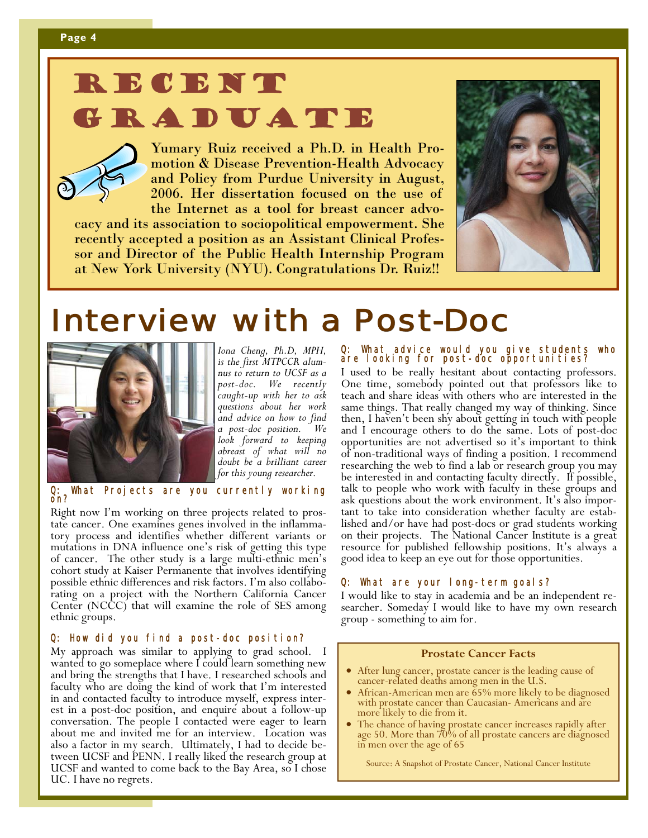# RECENT

RADUATE

Yumary Ruiz received a Ph.D. in Health Promotion & Disease Prevention-Health Advocacy and Policy from Purdue University in August, 2006. Her dissertation focused on the use of the Internet as a tool for breast cancer advo-

cacy and its association to sociopolitical empowerment. She recently accepted a position as an Assistant Clinical Professor and Director of the Public Health Internship Program at New York University (NYU). Congratulations Dr. Ruiz!!



## **Interview with a Post-Doc**



*Iona Cheng, Ph.D, MPH, is the first MTPCCR alumnus to return to UCSF as a post-doc. We recently caught-up with her to ask questions about her work and advice on how to find a post-doc position. We look forward to keeping abreast of what will no doubt be a brilliant career for this young researcher.* 

What Projects are you currently working on?

Right now I'm working on three projects related to prostate cancer. One examines genes involved in the inflammatory process and identifies whether different variants or mutations in DNA influence one's risk of getting this type of cancer. The other study is a large multi-ethnic men's cohort study at Kaiser Permanente that involves identifying possible ethnic differences and risk factors. I'm also collaborating on a project with the Northern California Cancer Center (NCCC) that will examine the role of SES among ethnic groups.

### Q: How did you find a post-doc position?

My approach was similar to applying to grad school. I wanted to go someplace where I could learn something new and bring the strengths that I have. I researched schools and faculty who are doing the kind of work that I'm interested in and contacted faculty to introduce myself, express interest in a post-doc position, and enquire about a follow-up conversation. The people I contacted were eager to learn about me and invited me for an interview. Location was also a factor in my search. Ultimately, I had to decide be- tween UCSF and PENN. I really liked the research group at UCSF and wanted to come back to the Bay Area, so I chose UC. I have no regrets.

#### Q: What advice would you give students who are looking for post-doc opportunities?

I used to be really hesitant about contacting professors. One time, somebody pointed out that professors like to teach and share ideas with others who are interested in the same things. That really changed my way of thinking. Since then, I haven't been shy about getting in touch with people and I encourage others to do the same. Lots of post-doc opportunities are not advertised so it's important to think of non-traditional ways of finding a position. I recommend researching the web to find a lab or research group you may be interested in and contacting faculty directly. If possible, ask questions about the work environment. It's also important to take into consideration whether faculty are estab-<br>lished and/or have had post-docs or grad students working on their projects. The National Cancer Institute is a great resource for published fellowship positions. It's always a good idea to keep an eye out for those opportunities.

### 。 <br>Q: What are your long-term goals?

I would like to stay in academia and be an independent researcher. Someday I would like to have my own research group - something to aim for.

### **Prostate Cancer Facts**

- After lung cancer, prostate cancer is the leading cause of cancer-related deaths among men in the U.S.
- African-American men are  $\overline{65\%}$  more likely to be diagnosed with prostate cancer than Caucasian- Americans and are more likely to die from it.
- The chance of having prostate cancer increases rapidly after age 50. More than 70% of all prostate cancers are diagnosed in men over the age of 65

Source: A Snapshot of Prostate Cancer, National Cancer Institute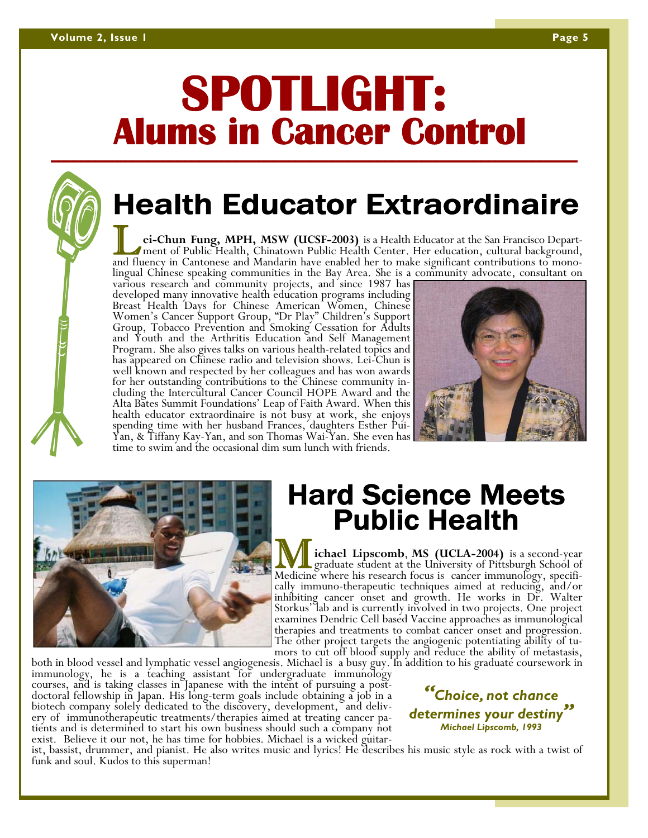## **SPOTLIGHT: Alums in Cancer Control \_\_\_\_\_\_\_\_\_\_\_\_\_\_\_\_\_\_\_\_\_\_\_\_\_\_\_\_\_\_\_\_\_\_\_\_\_\_\_\_\_\_\_\_\_\_\_\_\_\_\_\_\_\_\_\_\_\_\_\_\_\_\_\_\_\_\_\_\_\_\_**

## Health Educator Extraordinaire

ei-Chun Fung, MPH, MSW (UCSF-2003) is a Health Educator at the San Francisco Department of Public Health, Chinatown Public Health Center. Her education, cultural background, and fluency in Cantonese and Mandarin have enabl

Breast Health Days for Chinese American Women, Chinese<br>Women's Cancer Support Group, "Dr Play" Children's Support<br>Group, Tobacco Prevention and Smoking Cessation for Adults and Youth and the Arthritis Education and Self Management Program. She also gives talks on various health-related topics and has appeared on Chinese radio and television shows. Lei-Chun is well known and respected by her colleagues and has won awards for her outstanding contributions to the Chinese community in- cluding the Intercultural Cancer Council HOPE Award and the Alta Bates Summit Foundations' Leap of Faith Award. When this health educator extraordinaire is not busy at work, she enjoys spending time with her husband Frances, daughters Esther Pui-Yan, & Tiffany Kay-Yan, and son Thomas Wai-Yan. She even has time to swim and the occasional dim sum lunch with friends.





## Hard Science Meets Public Health

**We chaol Lipscomb, MS (UCLA-2004)** is a second-year graduate student at the University of Pittsburgh School of Medicine where his research focus is cancer immunology, specifically immuno-therapeutic techniques aimed at re Storkus' lab and is currently involved in two projects. One project examines Dendric Cell based Vaccine approaches as immunological therapies and treatments to combat cancer onset and progression. The other project targets the angiogenic potentiating ability of tu-<br>mors to cut off blood supply and reduce the ability of metastasis,

both in blood vessel and lymphatic vessel angiogenesis. Michael is a busy guy. In addition to his graduate coursework in immunology, he is a teaching assistant for undergraduate immunology<br>courses, and is taking classes in ery of immunotherapeutic treatments/therapies aimed at treating cancer patients and is determined to start his own business should such a company not

*"Choice, not chance determines your destiny" Michael Lipscomb, 1993* 

exist. Believe it our not, he has time for hobbies. Michael is a wicked guitar-<br>ist, bassist, drummer, and pianist. He also writes music and lyrics! He describes his music style as rock with a twist of<br>funk and soul. Kudos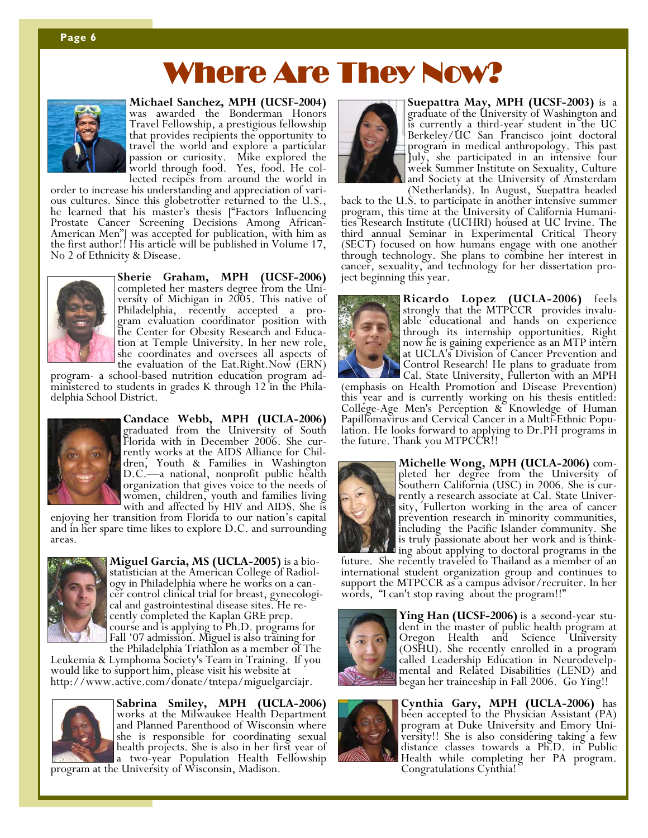#### **Page 6**

## Where Are They Now?



**Michael Sanchez, MPH (UCSF-2004)**  was awarded the Bonderman Honors Travel Fellowship, a prestigious fellowship that provides recipients the opportunity to travel the world and explore a particular passion or curiosity. Mike explored the world through food. Yes, food. He col-

lected recipes from around the world in order to increase his understanding and appreciation of vari-<br>ous cultures. Since this globetrotter returned to the U.S., he learned that his master's thesis ["Factors Influencing Prostate Cancer Screening Decisions Among African-American Men"] was accepted for publication, with him as the first author!! His article will be published in Volume 17, No 2 of Ethnicity & Disease.



**Sherie Graham, MPH (UCSF-2006)**  completed her masters degree from the University of Michigan in 2005. This native of Philadelphia, recently accepted a program evaluation coordinator position with the Center for Obesity Research and Education at Temple University. In her new role, she coordinates and oversees all aspects of the evaluation of the Eat.Right.Now (ERN)

program- a school-based nutrition education program administered to students in grades K through 12 in the Philadelphia School District.



**Candace Webb, MPH (UCLA-2006)**  graduated from the University of South Florida with in December 2006. She currently works at the AIDS Alliance for Children, Youth & Families in Washington D.C.—a national, nonprofit public health organization that gives voice to the needs of women, children, youth and families living<br>with and affected by HIV and AIDS. She is

enjoying her transition from Florida to our nation's capital and in her spare time likes to explore D.C. and surrounding areas.



**Miguel Garcia, MS (UCLA-2005)** is a biostatistician at the American College of Radiology in Philadelphia where he works on a cancer control clinical trial for breast, gynecological and gastrointestinal disease sites. He recently completed the Kaplan GRE prep. course and is applying to Ph.D. programs for Fall '07 admission. Miguel is also training for<br>the Philadelphia Triathlon as a member of The

Leukemia & Lymphoma Society's Team in Training. If you would like to support him, please visit his website at http://www.active.com/donate/tntepa/miguelgarciajr.



**Sabrina Smiley, MPH (UCLA-2006)** works at the Milwaukee Health Department and Planned Parenthood of Wisconsin where she is responsible for coordinating sexual health projects. She is also in her first year of program at the University of Wisconsin, Madison.



**Suepattra May, MPH (UCSF-2003)** is a graduate of the University of Washington and is currently a third-year student in the UC Berkeley/UC San Francisco joint doctoral program in medical anthropology. This past July, she participated in an intensive four week Summer Institute on Sexuality, Culture and Society at the University of Amsterdam

back to the U.S. to participate in another intensive summer program, this time at the University of California Humanities Research Institute (UCHRI) housed at UC Irvine. The third annual Seminar in Experimental Critical Theory (SECT) focused on how humans engage with one another through technology. She plans to combine her interest in cancer, sexuality, and technology for her dissertation project beginning this year.



**Ricardo Lopez (UCLA-2006)** feels strongly that the MTPCCR provides invaluable educational and hands on experience through its internship opportunities. Right now he is gaining experience as an MTP intern at UCLA's Division of Cancer Prevention and Control Research! He plans to graduate from

(emphasis on Health Promotion and Disease Prevention) this year and is currently working on his thesis entitled: College-Age Men's Perception & Knowledge of Human<br>Papillomavirus and Cervical Cancer in a Multi-Ethnic Population. He looks forward to applying to Dr.PH programs in the future. Thank you MTPCCR!!



**Michelle Wong, MPH (UCLA-2006)** completed her degree from the University of Southern California (USC) in 2006. She is currently a research associate at Cal. State University, Fullerton working in the area of cancer prevention research in minority communities, including the Pacific Islander community. She is truly passionate about her work and is think-<br>ing about applying to doctoral programs in the

future. She recently traveled to Thailand as a member of an international student organization group and continues to support the MTPCCR as a campus advisor/recruiter. In her words, "I can't stop raving about the program!!"



**Ying Han (UCSF-2006)** is a second-year stu- dent in the master of public health program at Oregon Health and Science University (OSHU). She recently enrolled in a program called Leadership Education in Neurodevelpmental and Related Disabilities (LEND) and began her traineeship in Fall 2006. Go Ying!!



**Cynthia Gary, MPH (UCLA-2006)** has been accepted to the Physician Assistant (PA) program at Duke University and Emory University!! She is also considering taking a few distance classes towards a Ph.D. in Public Health while completing her PA program. Congratulations Cynthia!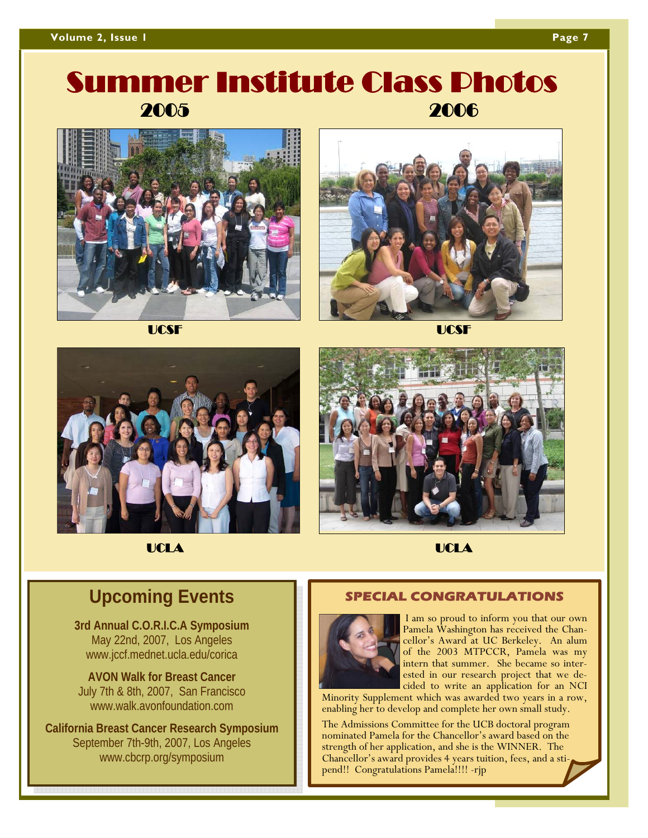### **Volume 2, Issue 1 Page 7 April 2018 19:30 Page 7 April 2019 19:30 Page 7 April 2019**

## 2005 2006 Summer Institute Class Photos



UCSF UCSF









UCLA UCLA

### **Upcoming Events**

**3rd Annual C.O.R.I.C.A Symposium**  May 22nd, 2007, Los Angeles www.jccf.mednet.ucla.edu/corica

**AVON Walk for Breast Cancer**  July 7th & 8th, 2007, San Francisco www.walk.avonfoundation.com

**California Breast Cancer Research Symposium**  September 7th-9th, 2007, Los Angeles www.cbcrp.org/symposium

### **SPECIAL CONGRATULATIONS**



 I am so proud to inform you that our own Pamela Washington has received the Chancellor's Award at UC Berkeley. An alum of the 2003 MTPCCR, Pamela was my intern that summer. She became so interested in our research project that we decided to write an application for an NCI

Minority Supplement which was awarded two years in a row, enabling her to develop and complete her own small study.

The Admissions Committee for the UCB doctoral program nominated Pamela for the Chancellor's award based on the strength of her application, and she is the WINNER. The Chancellor's award provides 4 years tuition, fees, and a stipend!! Congratulations Pamela!!!! -rjp